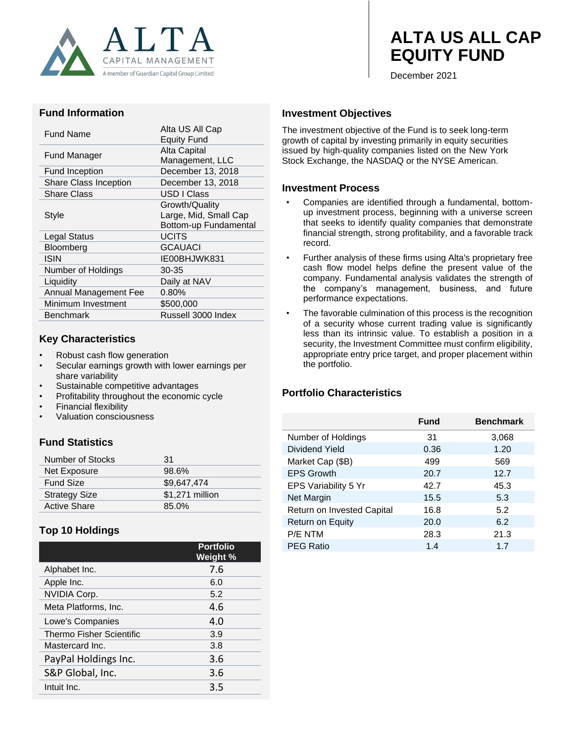

# **ALTA US ALL CAP EQUITY FUND**

December 2021

#### **Fund Information**

| <b>Fund Name</b>             | Alta US All Cap<br><b>Equity Fund</b> |
|------------------------------|---------------------------------------|
| Fund Manager                 | Alta Capital                          |
|                              | Management, LLC                       |
| Fund Inception               | December 13, 2018                     |
| <b>Share Class Inception</b> | December 13, 2018                     |
| <b>Share Class</b>           | USD I Class                           |
|                              | Growth/Quality                        |
| Style                        | Large, Mid, Small Cap                 |
|                              | Bottom-up Fundamental                 |
| <b>Legal Status</b>          | <b>UCITS</b>                          |
| <b>Bloomberg</b>             | <b>GCAUACI</b>                        |
| ISIN                         | IE00BHJWK831                          |
| Number of Holdings           | 30-35                                 |
| Liquidity                    | Daily at NAV                          |
| Annual Management Fee        | $0.80\%$                              |
| Minimum Investment           | \$500,000                             |
| <b>Benchmark</b>             | Russell 3000 Index                    |
|                              |                                       |

#### **Key Characteristics**

- Robust cash flow generation
- Secular earnings growth with lower earnings per share variability
- Sustainable competitive advantages
- Profitability throughout the economic cycle
- Financial flexibility
- Valuation consciousness

# **Fund Statistics**

| Number of Stocks     | 31              |
|----------------------|-----------------|
| Net Exposure         | 98.6%           |
| <b>Fund Size</b>     | \$9,647,474     |
| <b>Strategy Size</b> | \$1,271 million |
| <b>Active Share</b>  | 85.0%           |

# **Top 10 Holdings**

|                                 | <b>Portfolio</b><br>Weight % |
|---------------------------------|------------------------------|
| Alphabet Inc.                   | 7.6                          |
| Apple Inc.                      | 6.0                          |
| <b>NVIDIA Corp.</b>             | 5.2                          |
| Meta Platforms, Inc.            | 4.6                          |
| Lowe's Companies                | 4.0                          |
| <b>Thermo Fisher Scientific</b> | 3.9                          |
| Mastercard Inc.                 | 3.8                          |
| PayPal Holdings Inc.            | 3.6                          |
| S&P Global, Inc.                | 3.6                          |
| Intuit Inc.                     | 3.5                          |

### **Investment Objectives**

The investment objective of the Fund is to seek long-term growth of capital by investing primarily in equity securities issued by high-quality companies listed on the New York Stock Exchange, the NASDAQ or the NYSE American.

#### **Investment Process**

- Companies are identified through a fundamental, bottomup investment process, beginning with a universe screen that seeks to identify quality companies that demonstrate financial strength, strong profitability, and a favorable track record.
- Further analysis of these firms using Alta's proprietary free cash flow model helps define the present value of the company. Fundamental analysis validates the strength of the company's management, business, and future performance expectations.
- The favorable culmination of this process is the recognition of a security whose current trading value is significantly less than its intrinsic value. To establish a position in a security, the Investment Committee must confirm eligibility, appropriate entry price target, and proper placement within the portfolio.

## **Portfolio Characteristics**

|                            | Fund | <b>Benchmark</b> |
|----------------------------|------|------------------|
| Number of Holdings         | 31   | 3,068            |
| Dividend Yield             | 0.36 | 1.20             |
| Market Cap (\$B)           | 499  | 569              |
| <b>EPS Growth</b>          | 20.7 | 12.7             |
| EPS Variability 5 Yr       | 42.7 | 45.3             |
| Net Margin                 | 15.5 | 5.3              |
| Return on Invested Capital | 16.8 | 5.2              |
| Return on Equity           | 20.0 | 6.2              |
| P/E NTM                    | 28.3 | 21.3             |
| <b>PEG Ratio</b>           | 1.4  | 1.7              |